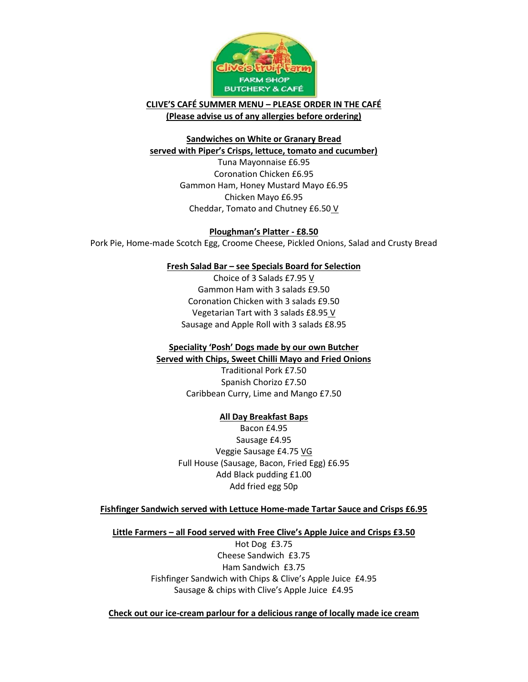

**CLIVE'S CAFÉ SUMMER MENU – PLEASE ORDER IN THE CAFÉ (Please advise us of any allergies before ordering)**

### **Sandwiches on White or Granary Bread served with Piper's Crisps, lettuce, tomato and cucumber)**

Tuna Mayonnaise £6.95 Coronation Chicken £6.95 Gammon Ham, Honey Mustard Mayo £6.95 Chicken Mayo £6.95 Cheddar, Tomato and Chutney £6.50 V

# **Ploughman's Platter - £8.50**

Pork Pie, Home-made Scotch Egg, Croome Cheese, Pickled Onions, Salad and Crusty Bread

# **Fresh Salad Bar – see Specials Board for Selection**

Choice of 3 Salads £7.95 V Gammon Ham with 3 salads £9.50 Coronation Chicken with 3 salads £9.50 Vegetarian Tart with 3 salads £8.95 V Sausage and Apple Roll with 3 salads £8.95

# **Speciality 'Posh' Dogs made by our own Butcher**

**Served with Chips, Sweet Chilli Mayo and Fried Onions**

Traditional Pork £7.50 Spanish Chorizo £7.50 Caribbean Curry, Lime and Mango £7.50

# **All Day Breakfast Baps**

Bacon £4.95 Sausage £4.95 Veggie Sausage £4.75 VG Full House (Sausage, Bacon, Fried Egg) £6.95 Add Black pudding £1.00 Add fried egg 50p

# **Fishfinger Sandwich served with Lettuce Home-made Tartar Sauce and Crisps £6.95**

### **Little Farmers – all Food served with Free Clive's Apple Juice and Crisps £3.50**

Hot Dog £3.75 Cheese Sandwich £3.75 Ham Sandwich £3.75 Fishfinger Sandwich with Chips & Clive's Apple Juice £4.95 Sausage & chips with Clive's Apple Juice £4.95

**Check out our ice-cream parlour for a delicious range of locally made ice cream**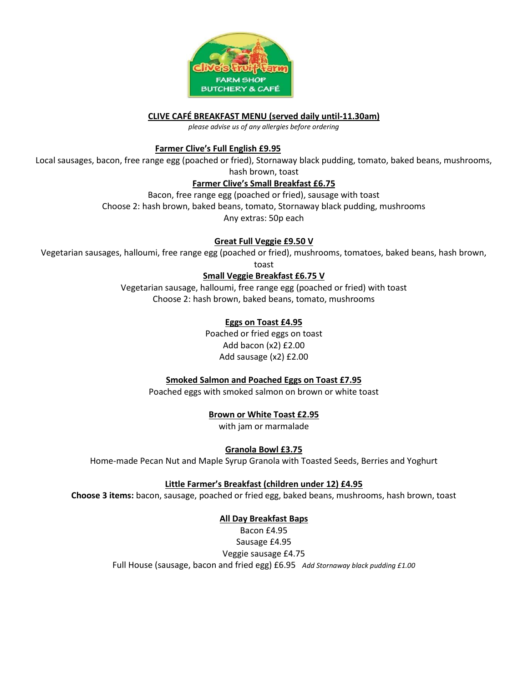

**CLIVE CAFÉ BREAKFAST MENU (served daily until-11.30am)**

*please advise us of any allergies before ordering*

### **Farmer Clive's Full English £9.95**

Local sausages, bacon, free range egg (poached or fried), Stornaway black pudding, tomato, baked beans, mushrooms,

hash brown, toast

### **Farmer Clive's Small Breakfast £6.75**

Bacon, free range egg (poached or fried), sausage with toast

Choose 2: hash brown, baked beans, tomato, Stornaway black pudding, mushrooms

Any extras: 50p each

# **Great Full Veggie £9.50 V**

Vegetarian sausages, halloumi, free range egg (poached or fried), mushrooms, tomatoes, baked beans, hash brown,

toast

**Small Veggie Breakfast £6.75 V**

Vegetarian sausage, halloumi, free range egg (poached or fried) with toast Choose 2: hash brown, baked beans, tomato, mushrooms

# **Eggs on Toast £4.95**

Poached or fried eggs on toast Add bacon (x2) £2.00 Add sausage (x2) £2.00

# **Smoked Salmon and Poached Eggs on Toast £7.95**

Poached eggs with smoked salmon on brown or white toast

**Brown or White Toast £2.95**

with jam or marmalade

**Granola Bowl £3.75**

Home-made Pecan Nut and Maple Syrup Granola with Toasted Seeds, Berries and Yoghurt

# **Little Farmer's Breakfast (children under 12) £4.95**

**Choose 3 items:** bacon, sausage, poached or fried egg, baked beans, mushrooms, hash brown, toast

# **All Day Breakfast Baps**

Bacon £4.95 Sausage £4.95 Veggie sausage £4.75 Full House (sausage, bacon and fried egg) £6.95 *Add Stornaway black pudding £1.00*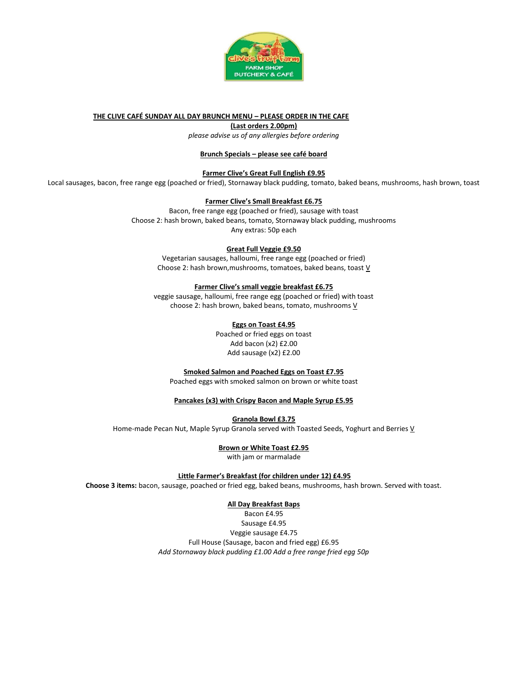

#### **THE CLIVE CAFÉ SUNDAY ALL DAY BRUNCH MENU – PLEASE ORDER IN THE CAFE**

**(Last orders 2.00pm)**

*please advise us of any allergies before ordering*

#### **Brunch Specials – please see café board**

**Farmer Clive's Great Full English £9.95**

Local sausages, bacon, free range egg (poached or fried), Stornaway black pudding, tomato, baked beans, mushrooms, hash brown, toast

#### **Farmer Clive's Small Breakfast £6.75**

Bacon, free range egg (poached or fried), sausage with toast Choose 2: hash brown, baked beans, tomato, Stornaway black pudding, mushrooms Any extras: 50p each

#### **Great Full Veggie £9.50**

Vegetarian sausages, halloumi, free range egg (poached or fried) Choose 2: hash brown,mushrooms, tomatoes, baked beans, toast V

#### **Farmer Clive's small veggie breakfast £6.75**

veggie sausage, halloumi, free range egg (poached or fried) with toast choose 2: hash brown, baked beans, tomato, mushrooms  $V$ 

#### **Eggs on Toast £4.95**

Poached or fried eggs on toast Add bacon (x2) £2.00 Add sausage (x2) £2.00

**Smoked Salmon and Poached Eggs on Toast £7.95**

Poached eggs with smoked salmon on brown or white toast

#### **Pancakes (x3) with Crispy Bacon and Maple Syrup £5.95**

**Granola Bowl £3.75**

Home-made Pecan Nut, Maple Syrup Granola served with Toasted Seeds, Yoghurt and Berries V

#### **Brown or White Toast £2.95**

with jam or marmalade

#### **Little Farmer's Breakfast (for children under 12) £4.95**

**Choose 3 items:** bacon, sausage, poached or fried egg, baked beans, mushrooms, hash brown. Served with toast.

#### **All Day Breakfast Baps**

Bacon £4.95 Sausage £4.95 Veggie sausage £4.75 Full House (Sausage, bacon and fried egg) £6.95 *Add Stornaway black pudding £1.00 Add a free range fried egg 50p*